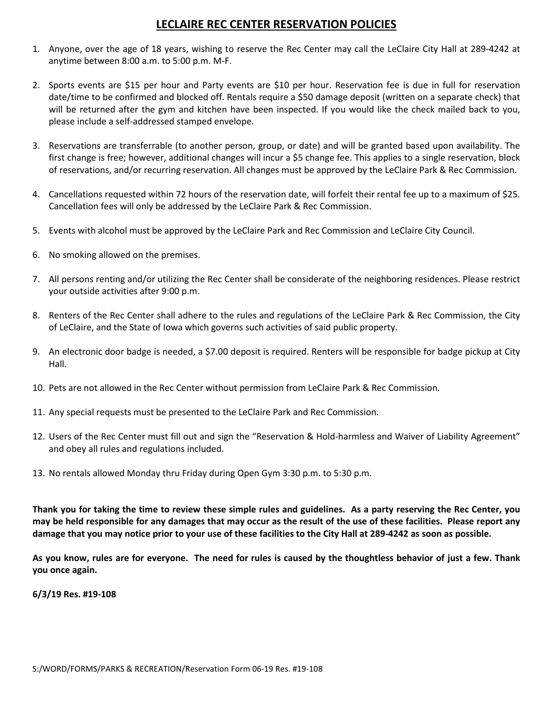## **LECLAIRE REC CENTER RESERVATION POLICIES**

- 1. Anyone, over the age of 18 years, wishing to reserve the Rec Center may call the LeClaire City Hall at 289-4242 at anytime between 8:00 a.m. to 5:00 p.m. M-F.
- 2. Sports events are \$15 per hour and Party events are \$10 per hour. Reservation fee is due in full for reservation date/time to be confirmed and blocked off. Rentals require a \$50 damage deposit (written on a separate check) that will be returned after the gym and kitchen have been inspected. If you would like the check mailed back to you, please include a self-addressed stamped envelope.
- 3. Reservations are transferrable (to another person, group, or date) and will be granted based upon availability. The first change is free; however, additional changes will incur a \$5 change fee. This applies to a single reservation, block of reservations, and/or recurring reservation. All changes must be approved by the LeClaire Park & Rec Commission.
- 4. Cancellations requested within 72 hours of the reservation date, will forfeit their rental fee up to a maximum of \$25. Cancellation fees will only be addressed by the LeClaire Park & Rec Commission.
- 5. Events with alcohol must be approved by the LeClaire Park and Rec Commission and LeClaire City Council.
- 6. No smoking allowed on the premises.
- 7. All persons renting and/or utilizing the Rec Center shall be considerate of the neighboring residences. Please restrict your outside activities after 9:00 p.m.
- 8. Renters of the Rec Center shall adhere to the rules and regulations of the LeClaire Park & Rec Commission, the City of LeClaire, and the State of Iowa which governs such activities of said public property.
- 9. An electronic door badge is needed, a \$7.00 deposit is required. Renters will be responsible for badge pickup at City Hall.
- 10. Pets are not allowed in the Rec Center without permission from LeClaire Park & Rec Commission.
- 11. Any special requests must be presented to the LeClaire Park and Rec Commission.
- 12. Users of the Rec Center must fill out and sign the "Reservation & Hold-harmless and Waiver of Liability Agreement" and obey all rules and regulations included.
- 13. No rentals allowed Monday thru Friday during Open Gym 3:30 p.m. to 5:30 p.m.

**Thank you for taking the time to review these simple rules and guidelines. As a party reserving the Rec Center, you may be held responsible for any damages that may occur as the result of the use of these facilities. Please report any damage that you may notice prior to your use of these facilities to the City Hall at 289-4242 as soon as possible.**

**As you know, rules are for everyone. The need for rules is caused by the thoughtless behavior of just a few. Thank you once again.** 

**6/3/19 Res. #19-108**